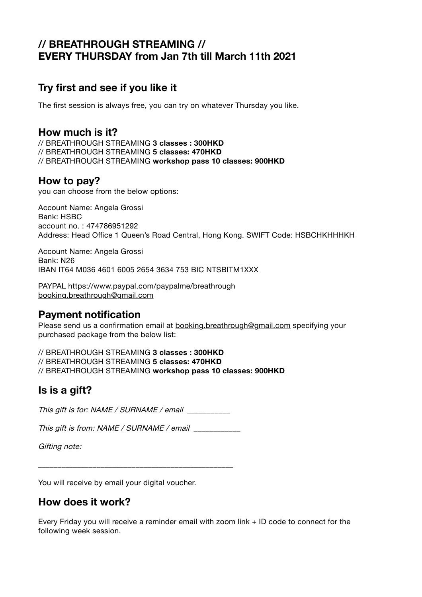# **// BREATHROUGH STREAMING // EVERY THURSDAY from Jan 7th till March 11th 2021**

# **Try first and see if you like it**

The first session is always free, you can try on whatever Thursday you like.

### **How much is it?**

// BREATHROUGH STREAMING **3 classes : 300HKD**  // BREATHROUGH STREAMING **5 classes: 470HKD**  // BREATHROUGH STREAMING **workshop pass 10 classes: 900HKD**

### **How to pay?**

you can choose from the below options:

Account Name: Angela Grossi Bank: HSBC account no. : 474786951292 Address: Head Office 1 Queen's Road Central, Hong Kong. SWIFT Code: HSBCHKHHHKH

Account Name: Angela Grossi Bank: N26 IBAN IT64 M036 4601 6005 2654 3634 753 BIC NTSBITM1XXX

PAYPAL https://www.paypal.com/paypalme/breathrough booking.breathrough@gmail.com

### **Payment notification**

Please send us a confirmation email at booking.breathrough@gmail.com specifying your purchased package from the below list:

// BREATHROUGH STREAMING **3 classes : 300HKD** 

// BREATHROUGH STREAMING **5 classes: 470HKD** 

// BREATHROUGH STREAMING **workshop pass 10 classes: 900HKD**

## **Is is a gift?**

This gift is for: NAME / SURNAME / email

This gift is from: NAME / SURNAME / email

Gifting note:

You will receive by email your digital voucher.

## **How does it work?**

Every Friday you will receive a reminder email with zoom link + ID code to connect for the following week session.